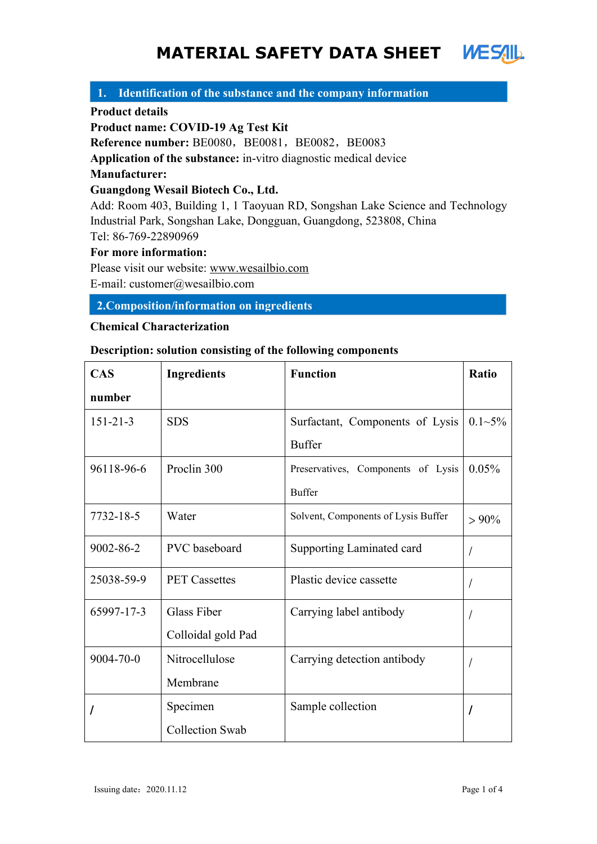# **MATERIAL SAFETY DATA SHEET**

## **1. Identification of the substance and the company information**

#### **Product details**

**Product name: COVID-19 Ag Test Kit**

**Reference number:** BE0080, BE0081, BE0082, BE0083

**Application of the substance:** in-vitro diagnostic medical device

## **Manufacturer:**

## **Guangdong Wesail Biotech Co., Ltd.**

Add: Room 403, Building 1, 1 Taoyuan RD, Songshan Lake Science and Technology Industrial Park, Songshan Lake, Dongguan, Guangdong, 523808, China Tel: 86-769-22890969

**For more information:**

Please visit our website: [www.wesailbio.com](http://www.wesailbio.com)

E-mail: customer@wesailbio.com

## **2.Composition/information on ingredients**

## **Chemical Characterization**

## **Description: solution consisting of the following components**

| <b>CAS</b>     | <b>Ingredients</b>     | <b>Function</b>                     | Ratio       |
|----------------|------------------------|-------------------------------------|-------------|
| number         |                        |                                     |             |
| $151 - 21 - 3$ | <b>SDS</b>             | Surfactant, Components of Lysis     | $0.1 - 5\%$ |
|                |                        | <b>Buffer</b>                       |             |
| 96118-96-6     | Proclin 300            | Preservatives, Components of Lysis  | 0.05%       |
|                |                        | <b>Buffer</b>                       |             |
| 7732-18-5      | Water                  | Solvent, Components of Lysis Buffer | $> 90\%$    |
| 9002-86-2      | PVC baseboard          | Supporting Laminated card           |             |
| 25038-59-9     | <b>PET Cassettes</b>   | Plastic device cassette             |             |
| 65997-17-3     | Glass Fiber            | Carrying label antibody             |             |
|                | Colloidal gold Pad     |                                     |             |
| 9004-70-0      | Nitrocellulose         | Carrying detection antibody         |             |
|                | Membrane               |                                     |             |
|                | Specimen               | Sample collection                   |             |
|                | <b>Collection Swab</b> |                                     |             |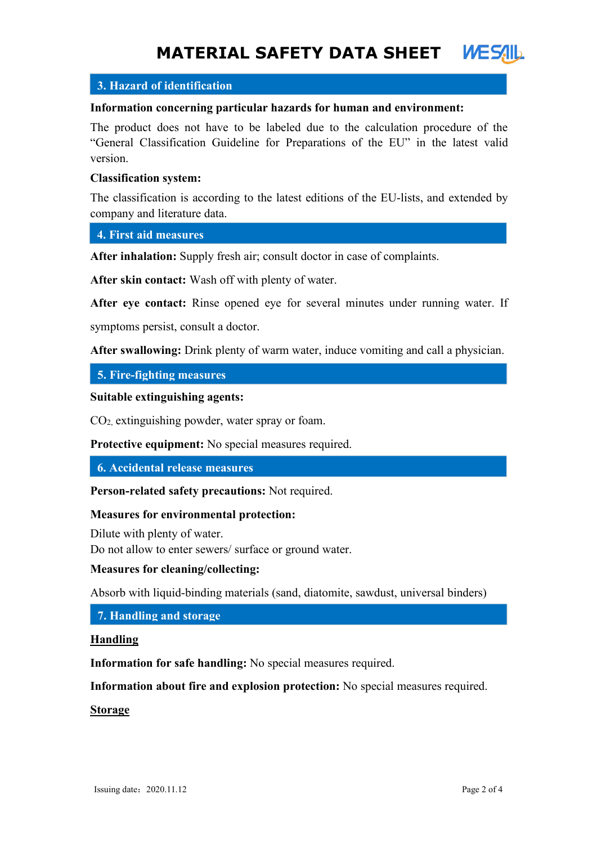## $\blacksquare$ **3. Hazard of identification**

#### **Information concerning particular hazards for human and environment:**

The product does not have to be labeled due to the calculation procedure of the "General Classification Guideline for Preparations of the EU" in the latest valid version.

## **Classification system:**

The classification is according to the latest editions of the EU-lists, and extended by company and literature data.

**4. First aid measures**

**After inhalation:** Supply fresh air; consult doctor in case of complaints.

**After skin contact:** Wash off with plenty of water.

**After eye contact:** Rinse opened eye for several minutes under running water. If

symptoms persist, consult a doctor.

**After swallowing:** Drink plenty of warm water, induce vomiting and call a physician.

**5. Fire-fighting measures**

**Suitable extinguishing agents:**

CO2, extinguishing powder, water spray or foam.

**Protective equipment:** No special measures required.

**6. Accidental release measures**

**Person-related safety precautions:** Not required.

#### **Measures for environmental protection:**

Dilute with plenty of water. Do not allow to enter sewers/ surface or ground water.

#### **Measures for cleaning/collecting:**

Absorb with liquid-binding materials (sand, diatomite, sawdust, universal binders)

**7. Handling and storage**

#### **Handling**

**Information for safe handling:** No special measures required.

**Information about fire and explosion protection:** No special measures required.

**Storage**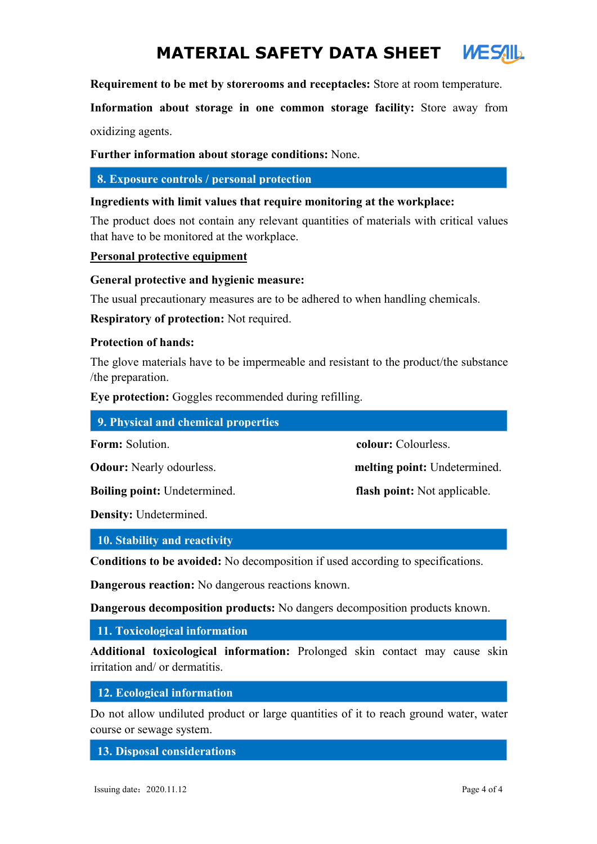# **MATERIAL SAFETY DATA SHEET**

**Requirement to be met by storerooms and receptacles:** Store at room temperature.

**Information about storage in one common storage facility:** Store away from oxidizing agents.

**Further information about storage conditions:** None.

**8. Exposure controls / personal protection**

#### **Ingredients with limit values that require monitoring at the workplace:**

The product does not contain any relevant quantities of materials with critical values that have to be monitored at the workplace.

**Personal protective equipment**

## **General protective and hygienic measure:**

The usual precautionary measures are to be adhered to when handling chemicals.

**Respiratory of protection:** Not required.

#### **Protection of hands:**

The glove materials have to be impermeable and resistant to the product/the substance /the preparation.

**Eye protection:** Goggles recommended during refilling.

| 9. Physical and chemical properties |                                     |
|-------------------------------------|-------------------------------------|
| <b>Form:</b> Solution.              | colour: Colourless.                 |
| <b>Odour:</b> Nearly odourless.     | melting point: Undetermined.        |
| <b>Boiling point:</b> Undetermined. | <b>flash point:</b> Not applicable. |
|                                     |                                     |

**Density:** Undetermined.

#### **10. Stability and reactivity**

**Conditions to be avoided:** No decomposition if used according to specifications.

**Dangerous reaction:** No dangerous reactions known.

**Dangerous decomposition products:** No dangers decomposition products known.

**11. Toxicological information**

**Additional toxicological information:** Prolonged skin contact may cause skin irritation and/ or dermatitis.

**12. Ecological information**

Do not allow undiluted product or large quantities of it to reach ground water, water course or sewage system.

**13. Disposal considerations**